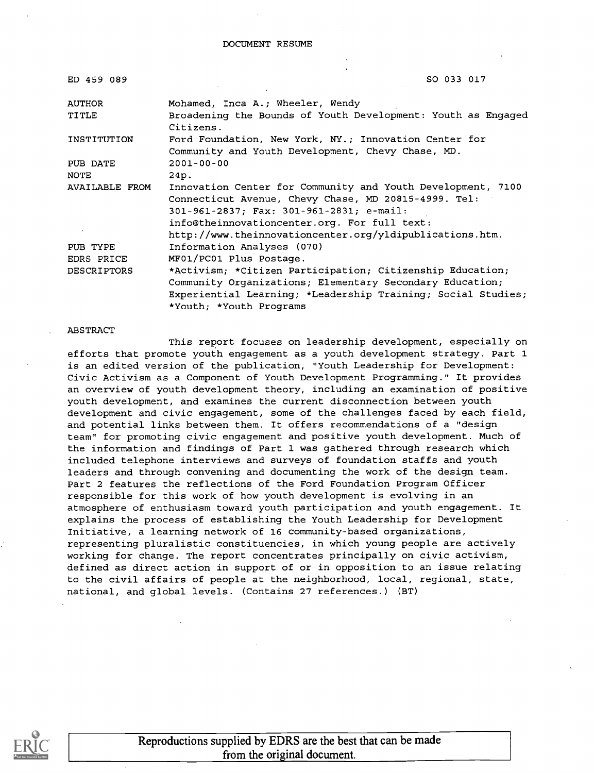| ED 459 089         | SO 033 017                                                                                                                                                                                                                                                                  |
|--------------------|-----------------------------------------------------------------------------------------------------------------------------------------------------------------------------------------------------------------------------------------------------------------------------|
| <b>AUTHOR</b>      | Mohamed, Inca A.; Wheeler, Wendy                                                                                                                                                                                                                                            |
| TITLE              | Broadening the Bounds of Youth Development: Youth as Engaged<br>Citizens.                                                                                                                                                                                                   |
| INSTITUTION        | Ford Foundation, New York, NY.; Innovation Center for<br>Community and Youth Development, Chevy Chase, MD.                                                                                                                                                                  |
| PUB DATE           | $2001 - 00 - 00$                                                                                                                                                                                                                                                            |
| NOTE               | 24p.                                                                                                                                                                                                                                                                        |
| AVAILABLE FROM     | Innovation Center for Community and Youth Development, 7100<br>Connecticut Avenue, Chevy Chase, MD 20815-4999. Tel:<br>301-961-2837; Fax: 301-961-2831; e-mail:<br>info@theinnovationcenter.org. For full text:<br>http://www.theinnovationcenter.org/yldipublications.htm. |
| PUB TYPE           | Information Analyses (070)                                                                                                                                                                                                                                                  |
| EDRS PRICE         | MF01/PC01 Plus Postage.                                                                                                                                                                                                                                                     |
| <b>DESCRIPTORS</b> | *Activism; *Citizen Participation; Citizenship Education;<br>Community Organizations; Elementary Secondary Education;<br>Experiential Learning; *Leadership Training; Social Studies;<br>*Youth; *Youth Programs                                                            |

#### ABSTRACT

This report focuses on leadership development, especially on efforts that promote youth engagement as a youth development strategy. Part 1 is an edited version of the publication, "Youth Leadership for Development: Civic Activism as a Component of Youth Development Programming." It provides an overview of youth development theory, including an examination of positive youth development, and examines the current disconnection between youth development and civic engagement, some of the challenges faced by each field, and potential links between them. It offers recommendations of a "design team" for promoting civic engagement and positive youth development. Much of the information and findings of Part 1 was gathered through research which included telephone interviews and surveys of foundation staffs and youth leaders and through convening and documenting the work of the design team. Part 2 features the reflections of the Ford Foundation Program Officer responsible for this work of how youth development is evolving in an atmosphere of enthusiasm toward youth participation and youth engagement. It explains the process of establishing the Youth Leadership for Development Initiative, a learning network of 16 community-based organizations, representing pluralistic constituencies, in which young people are actively working for change. The report concentrates principally on civic activism, defined as direct action in support of or in opposition to an issue relating to the civil affairs of people at the neighborhood, local, regional, state, national, and global levels. (Contains 27 references.) (BT)

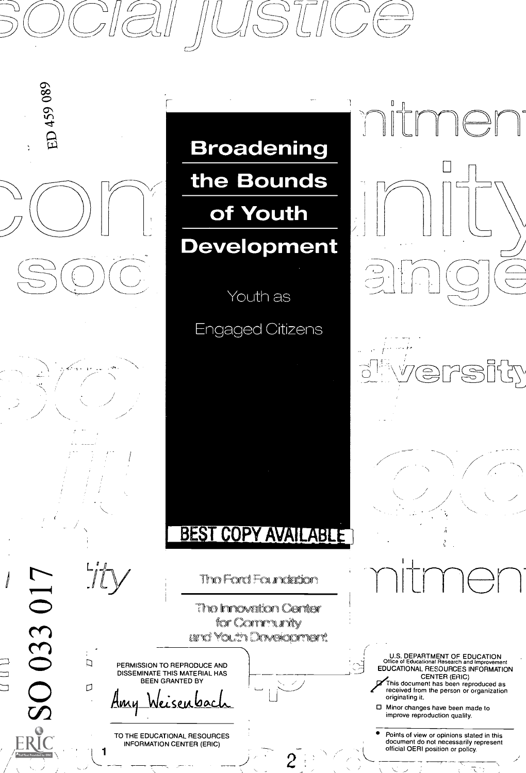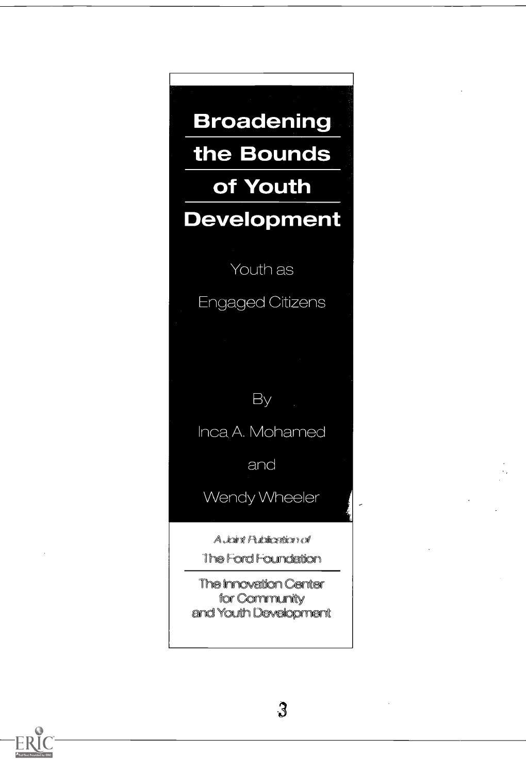**Broadening** the Bounds of Youth **Development** Youth as **Engaged Citizens** By Inca A. Mohamed and Wendy Wheeler A Joint Publication of The Ford Foundation

> The Innovation Center for Community and Youth Development

 $\mathbf{3}$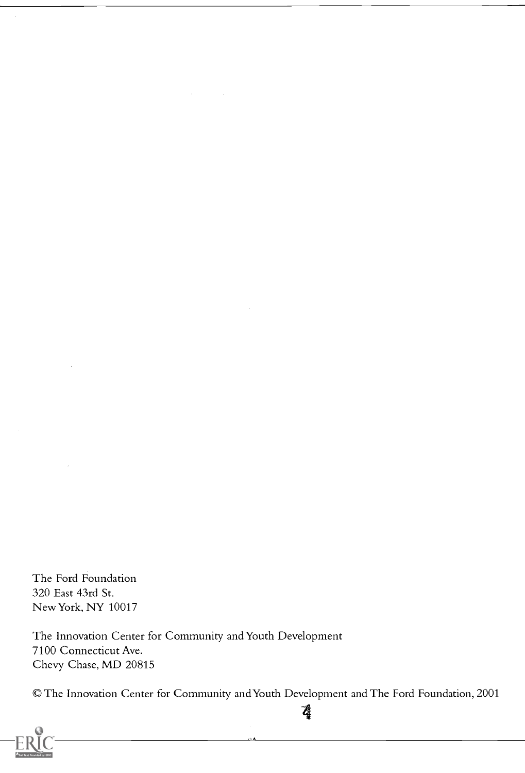The Ford Foundation 320 East 43rd St. New York, NY 10017

The Innovation Center for Community and Youth Development 7100 Connecticut Ave. Chevy Chase, MD 20815

©The Innovation Center for Community and Youth Development and The Ford Foundation, 2001

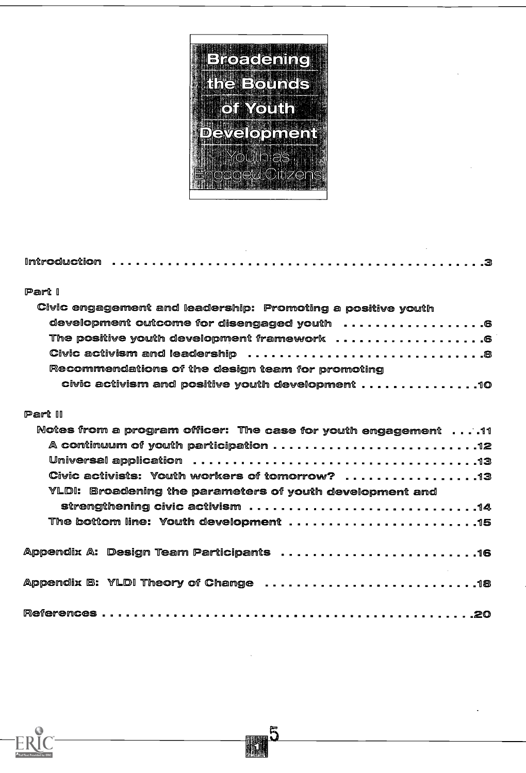

| Part I                                                                             |  |
|------------------------------------------------------------------------------------|--|
| Civic engagement and leadership: Promoting a positive youth                        |  |
| development outcome for disengaged youth  6                                        |  |
| The positive youth development framework  6                                        |  |
|                                                                                    |  |
| Recommendations of the design team for promoting                                   |  |
| civic activism and positive youth development $\ldots \ldots \ldots \ldots \ldots$ |  |
|                                                                                    |  |
| Part II                                                                            |  |
| Notes from a program officer: The case for youth engagement 11                     |  |
|                                                                                    |  |
|                                                                                    |  |
| Civic activists: Youth workers of tomorrow? 13                                     |  |
| YLDI: Broadening the parameters of youth development and                           |  |
|                                                                                    |  |
|                                                                                    |  |
|                                                                                    |  |
| Appendix A: Design Team Participants 16                                            |  |
|                                                                                    |  |
|                                                                                    |  |
|                                                                                    |  |
|                                                                                    |  |

 $\frac{5}{4}$ 

 $ER$ ided by ERIC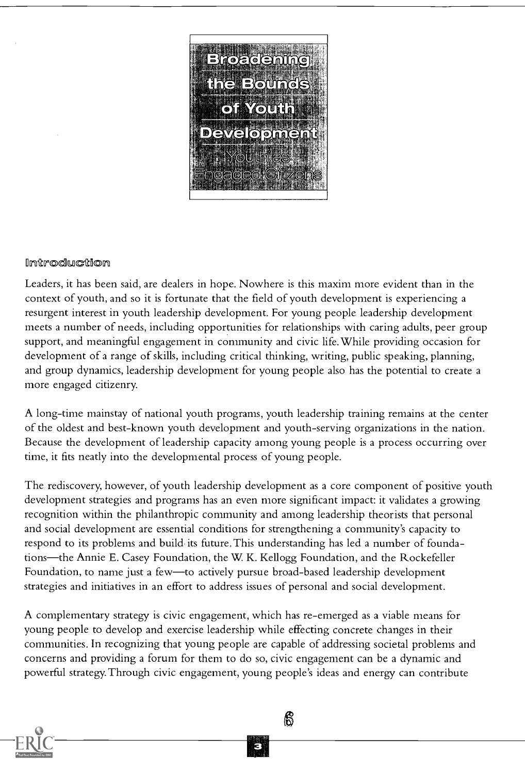

#### Imtroduction

Leaders, it has been said, are dealers in hope. Nowhere is this maxim more evident than in the context of youth, and so it is fortunate that the field of youth development is experiencing a resurgent interest in youth leadership development. For young people leadership development meets a number of needs, including opportunities for relationships with caring adults, peer group support, and meaningful engagement in community and civic life.While providing occasion for development of a range of skills, including critical thinking, writing, public speaking, planning, and group dynamics, leadership development for young people also has the potential to create a more engaged citizenry.

A long-time mainstay of national youth programs, youth leadership training remains at the center of the oldest and best-known youth development and youth-serving organizations in the nation. Because the development of leadership capacity among young people is a process occurring over time, it fits neatly into the developmental process of young people.

The rediscovery, however, of youth leadership development as a core component of positive youth development strategies and programs has an even more significant impact: it validates a growing recognition within the philanthropic community and among leadership theorists that personal and social development are essential conditions for strengthening a community's capacity to respond to its problems and build its future. This understanding has led a number of foundations—the Annie E. Casey Foundation, the W. K. Kellogg Foundation, and the Rockefeller Foundation, to name just a few—to actively pursue broad-based leadership development strategies and initiatives in an effort to address issues of personal and social development.

A complementary strategy is civic engagement, which has re-emerged as a viable means for young people to develop and exercise leadership while effecting concrete changes in their communities. In recognizing that young people are capable of addressing societal problems and concerns and providing a forum for them to do so, civic engagement can be a dynamic and powerful strategy. Through civic engagement, young people's ideas and energy can contribute

 $\mathcal{E}$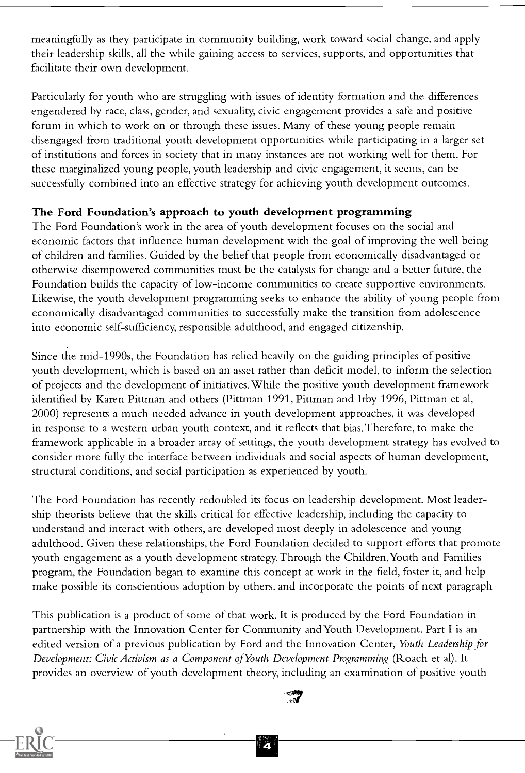meaningfully as they participate in community building, work toward social change, and apply their leadership skills, all the while gaining access to services, supports, and opportunities that facilitate their own development.

Particularly for youth who are struggling with issues of identity formation and the differences engendered by race, class, gender, and sexuality, civic engagement provides a safe and positive forum in which to work on or through these issues. Many of these young people remain disengaged from traditional youth development opportunities while participating in a larger set of institutions and forces in society that in many instances are not working well for them. For these marginalized young people, youth leadership and civic engagement, it seems, can be successfully combined into an effective strategy for achieving youth development outcomes.

#### The Ford Foundation's approach to youth development programming

The Ford Foundation's work in the area of youth development focuses on the social and economic factors that influence human development with the goal of improving the well being of children and families. Guided by the belief that people from economically disadvantaged or otherwise disempowered communities must be the catalysts for change and a better future, the Foundation builds the capacity of low-income communities to create supportive environments. Likewise, the youth development programming seeks to enhance the ability of young people from economically disadvantaged communities to successfully make the transition from adolescence into economic self-sufficiency, responsible adulthood, and engaged citizenship.

Since the mid-1990s, the Foundation has relied heavily on the guiding principles of positive youth development, which is based on an asset rather than deficit model, to inform the selection of projects and the development of initiatives.While the positive youth development framework identified by Karen Pittman and others (Pittman 1991, Pittman and Irby 1996, Pittman et al, 2000) represents a much needed advance in youth development approaches, it was developed in response to a western urban youth context, and it reflects that bias. Therefore, to make the framework applicable in a broader array of settings, the youth development strategy has evolved to consider more fully the interface between individuals and social aspects of human development, structural conditions, and social participation as experienced by youth.

The Ford Foundation has recently redoubled its focus on leadership development. Most leadership theorists believe that the skills critical for effective leadership, including the capacity to understand and interact with others, are developed most deeply in adolescence and young adulthood. Given these relationships, the Ford Foundation decided to support efforts that promote youth engagement as a youth development strategy. Through the Children,Youth and Families program, the Foundation began to examine this concept at work in the field, foster it, and help make possible its conscientious adoption by others, and incorporate the points of next paragraph

This publication is a product of some of that work. It is produced by the Ford Foundation in partnership with the Innovation Center for Community andYouth Development. Part I is an edited version of a previous publication by Ford and the Innovation Center, Youth Leadership for Development: Civic Activism as a Component ofYouth Development Programming (Roach et al). It provides an overview of youth development theory, including an examination of positive youth



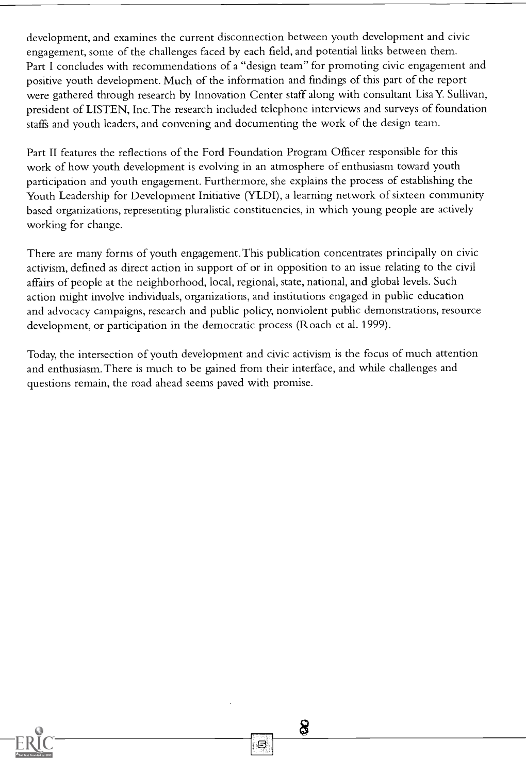development, and examines the current disconnection between youth development and civic engagement, some of the challenges faced by each field, and potential links between them. Part I concludes with recommendations of a "design team" for promoting civic engagement and positive youth development. Much of the information and findings of this part of the report were gathered through research by Innovation Center staff along with consultant Lisa Y. Sullivan, president of LISTEN, Inc. The research included telephone interviews and surveys of foundation staffs and youth leaders, and convening and documenting the work of the design team.

Part II features the reflections of the Ford Foundation Program Officer responsible for this work of how youth development is evolving in an atmosphere of enthusiasm toward youth participation and youth engagement. Furthermore, she explains the process of establishing the Youth Leadership for Development Initiative (YLDI), a learning network of sixteen community based organizations, representing pluralistic constituencies, in which young people are actively working for change.

There are many forms of youth engagement. This publication concentrates principally on civic activism, defined as direct action in support of or in opposition to an issue relating to the civil affairs of people at the neighborhood, local, regional, state, national, and global levels. Such action might involve individuals, organizations, and institutions engaged in public education and advocacy campaigns, research and public policy, nonviolent public demonstrations, resource development, or participation in the democratic process (Roach et al. 1999).

Today, the intersection of youth development and civic activism is the focus of much attention and enthusiasm. There is much to be gained from their interface, and while challenges and questions remain, the road ahead seems paved with promise.

8

Θ

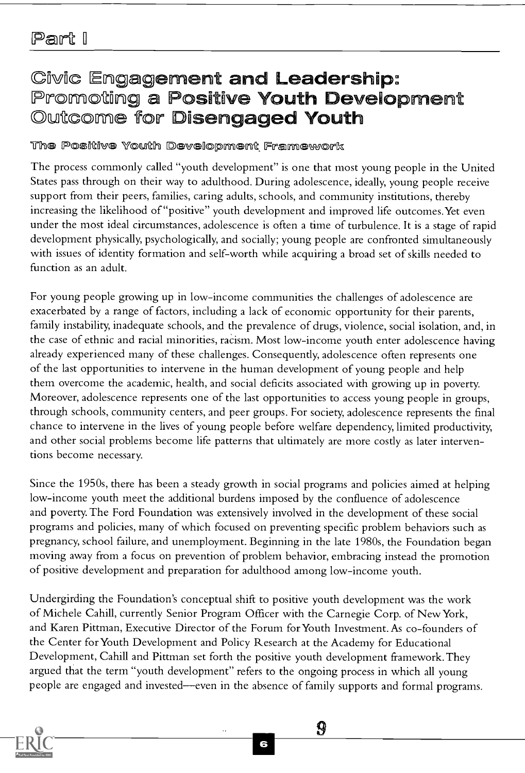# Civic Engagement and Leadership:<br>Promoting a Positive Youth Development<br>Outcome for Disengaged Youth

#### The Positive Youth Development Framework

The process commonly called "youth development" is one that most young people in the United States pass through on their way to adulthood. During adolescence, ideally, young people receive support from their peers, families, caring adults, schools, and community institutions, thereby increasing the likelihood of "positive" youth development and improved life outcomes.Yet even under the most ideal circumstances, adolescence is often a time of turbulence. It is a stage of rapid development physically, psychologically, and socially; young people are confronted simultaneously with issues of identity formation and self-worth while acquiring a broad set of skills needed to function as an adult.

For young people growing up in low-income communities the challenges of adolescence are exacerbated by a range of factors, including a lack of economic opportunity for their parents, family instability, inadequate schools, and the prevalence of drugs, violence, social isolation, and, in the case of ethnic and racial minorities, racism. Most low-income youth enter adolescence having already experienced many of these challenges. Consequently, adolescence often represents one of the last opportunities to intervene in the human development of young people and help them overcome the academic, health, and social deficits associated with growing up in poverty. Moreover, adolescence represents one of the last opportunities to access young people in groups, through schools, community centers, and peer groups. For society, adolescence represents the final chance to intervene in the lives of young people before welfare dependency, limited productivity, and other social problems become life patterns that ultimately are more costly as later interventions become necessary.

Since the 1950s, there has been a steady growth in social programs and policies aimed at helping low-income youth meet the additional burdens imposed by the confluence of adolescence and poverty. The Ford Foundation was extensively involved in the development of these social programs and policies, many of which focused on preventing specific problem behaviors such as pregnancy, school failure, and unemployment. Beginning in the late 1980s, the Foundation began moving away from a focus on prevention of problem behavior, embracing instead the promotion of positive development and preparation for adulthood among low-income youth.

Undergirding the Foundation's conceptual shift to positive youth development was the work of Michele Cahill, currently Senior Program Officer with the Carnegie Corp. of New York, and Karen Pittman, Executive Director of the Forum for Youth Investment. As co-founders of the Center for Youth Development and Policy Research at the Academy for Educational Development, Cahill and Pittman set forth the positive youth development framework. They argued that the term "youth development" refers to the ongoing process in which all young people are engaged and invested—even in the absence of family supports and formal programs.



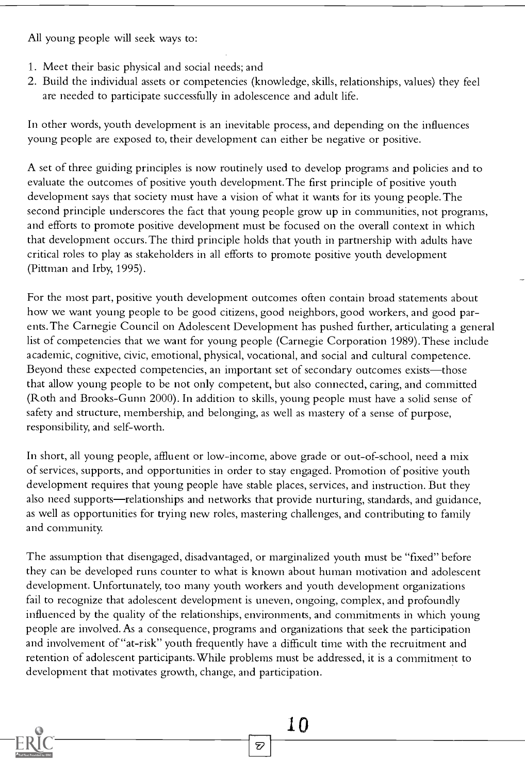All young people will seek ways to:

- 1. Meet their basic physical and social needs; and
- 2. Build the individual assets or competencies (knowledge, skills, relationships, values) they feel are needed to participate successfully in adolescence and adult life.

In other words, youth development is an inevitable process, and depending on the influences young people are exposed to, their development can either be negative or positive.

A set of three guiding principles is now routinely used to develop programs and policies and to evaluate the outcomes of positive youth development. The first principle of positive youth development says that society must have a vision of what it wants for its young people. The second principle underscores the fact that young people grow up in communities, not programs, and efforts to promote positive development must be focused on the overall context in which that development occurs. The third principle holds that youth in partnership with adults have critical roles to play as stakeholders in all efforts to promote positive youth development (Pittman and Irby, 1995).

For the most part, positive youth development outcomes often contain broad statements about how we want young people to be good citizens, good neighbors, good workers, and good parents. The Carnegie Council on Adolescent Development has pushed further, articulating a general list of competencies that we want for young people (Carnegie Corporation 1989). These include academic, cognitive, civic, emotional, physical, vocational, and social and cultural competence. Beyond these expected competencies, an important set of secondary outcomes exists—those that allow young people to be not only competent, but also connected, caring, and committed (Roth and Brooks-Gunn 2000). In addition to skills, young people must have a solid sense of safety and structure, membership, and belonging, as well as mastery of a sense of purpose, responsibility, and self-worth.

In short, all young people, affluent or low-income, above grade or out-of-school, need a mix of services, supports, and opportunities in order to stay engaged. Promotion of positive youth development requires that young people have stable places, services, and instruction. But they also need supports—relationships and networks that provide nurturing, standards, and guidance, as well as opportunities for trying new roles, mastering challenges, and contributing to family and community.

The assumption that disengaged, disadvantaged, or marginalized youth must be "fixed" before they can be developed runs counter to what is known about human motivation and adolescent development. Unfortunately, too many youth workers and youth development organizations fail to recognize that adolescent development is uneven, ongoing, complex, and profoundly influenced by the quality of the relationships, environments, and commitments in which young people are involved. As a consequence, programs and organizations that seek the participation and involvement of "at-risk" youth frequently have a difficult time with the recruitment and retention of adolescent participants. While problems must be addressed, it is a commitment to development that motivates growth, change, and participation.

D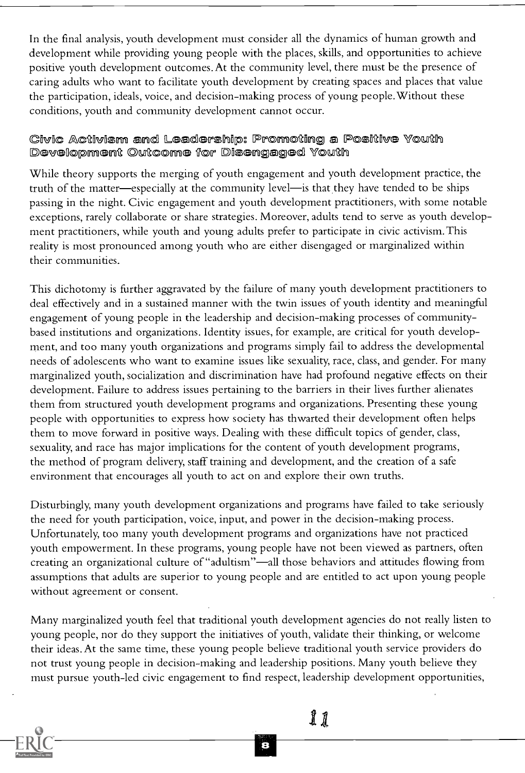In the final analysis, youth development must consider all the dynamics of human growth and development while providing young people with the places, skills, and opportunities to achieve positive youth development outcomes. At the community level, there must be the presence of caring adults who want to facilitate youth development by creating spaces and places that value the participation, ideals, voice, and decision-making process of young people.Without these conditions, youth and community development cannot occur.

# Givic Activism and Leadership: Promoting a Positive Youth<br>Development Outcome for Disengaged Youth

While theory supports the merging of youth engagement and youth development practice, the truth of the matter—especially at the community level—is that they have tended to be ships passing in the night. Civic engagement and youth development practitioners, with some notable exceptions, rarely collaborate or share strategies. Moreover, adults tend to serve as youth development practitioners, while youth and young adults prefer to participate in civic activism. This reality is most pronounced among youth who are either disengaged or marginalized within their communities.

This dichotomy is further aggravated by the failure of many youth development practitioners to deal effectively and in a sustained manner with the twin issues of youth identity and meaningful engagement of young people in the leadership and decision-making processes of communitybased institutions and organizations. Identity issues, for example, are critical for youth development, and too many youth organizations and programs simply fail to address the developmental needs of adolescents who want to examine issues like sexuality, race, class, and gender. For many marginalized youth, socialization and discrimination have had profound negative effects on their development. Failure to address issues pertaining to the barriers in their lives further alienates them from structured youth development programs and organizations. Presenting these young people with opportunities to express how society has thwarted their development often helps them to move forward in positive ways. Dealing with these difficult topics of gender, class, sexuality, and race has major implications for the content of youth development programs, the method of program delivery, staff training and development, and the creation of a safe environment that encourages all youth to act on and explore their own truths.

Disturbingly, many youth development organizations and programs have failed to take seriously the need for youth participation, voice, input, and power in the decision-making process. Unfortunately, too many youth development programs and organizations have not practiced youth empowerment. In these programs, young people have not been viewed as partners, often creating an organizational culture of "adultism"-all those behaviors and attitudes flowing from assumptions that adults are superior to young people and are entitled to act upon young people without agreement or consent.

Many marginalized youth feel that traditional youth development agencies do not really listen to young people, nor do they support the initiatives of youth, validate their thinking, or welcome their ideas. At the same time, these young people believe traditional youth service providers do not trust young people in decision-making and leadership positions. Many youth believe they must pursue youth-led civic engagement to find respect, leadership development opportunities,

.11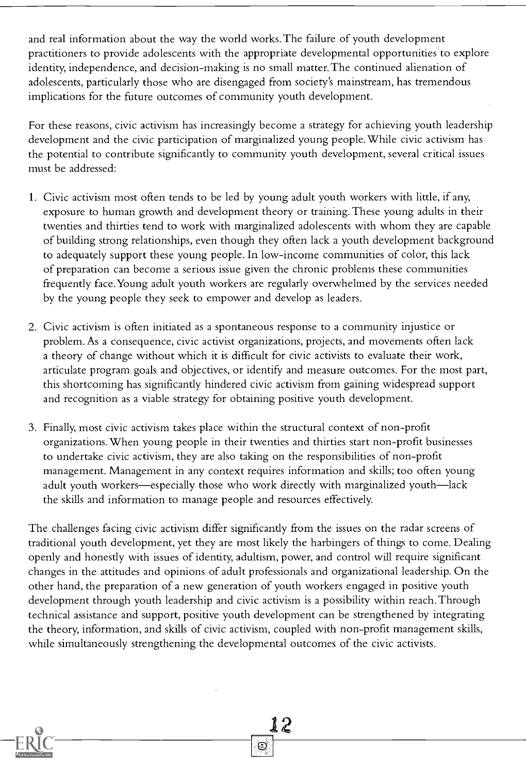and real information about the way the world works. The failure of youth development practitioners to provide adolescents with the appropriate developmental opportunities to explore identity, independence, and decision-making is no small matter. The continued alienation of adolescents, particularly those who are disengaged from society's mainstream, has tremendous implications for the future outcomes of community youth development.

For these reasons, civic activism has increasingly become a strategy for achieving youth leadership development and the civic participation of marginalized young people.While civic activism has the potential to contribute significantly to community youth development, several critical issues must be addressed:

- 1. Civic activism most often tends to be led by young adult youth workers with little, if any, exposure to human growth and development theory or training. These young adults in their twenties and thirties tend to work with marginalized adolescents with whom they are capable of building strong relationships, even though they often lack a youth development background to adequately support these young people. In low-income communities of color, this lack of preparation can become a serious issue given the chronic problems these communities frequently face.Young adult youth workers are regularly overwhelmed by the services needed by the young people they seek to empower and develop as leaders.
- 2. Civic activism is often initiated as a spontaneous response to a community injustice or problem. As a consequence, civic activist organizations, projects, and movements often lack a theory of change without which it is difficult for civic activists to evaluate their work, articulate program goals and objectives, or identify and measure outcomes. For the most part, this shortcoming has significantly hindered civic activism from gaining widespread support and recognition as a viable strategy for obtaining positive youth development.
- 3. Finally, most civic activism takes place within the structural context of non-profit organizations.When young people in their twenties and thirties start non-profit businesses to undertake civic activism, they are also taking on the responsibilities of non-profit management. Management in any context requires information and skills; too often young adult youth workers—especially those who work directly with marginalized youth—lack the skills and information to manage people and resources effectively.

The challenges facing civic activism differ significantly from the issues on the radar screens of traditional youth development, yet they are most likely the harbingers of things to come. Dealing openly and honestly with issues of identity, adultism, power, and control will require significant changes in the attitudes and opinions of adult professionals and organizational leadership. On the other hand, the preparation of a new generation of youth workers engaged in positive youth development through youth leadership and civic activism is a possibility within reach. Through technical assistance and support, positive youth development can be strengthened by integrating the theory, information, and skills of civic activism, coupled with non-profit management skills, while simultaneously strengthening the developmental outcomes of the civic activists.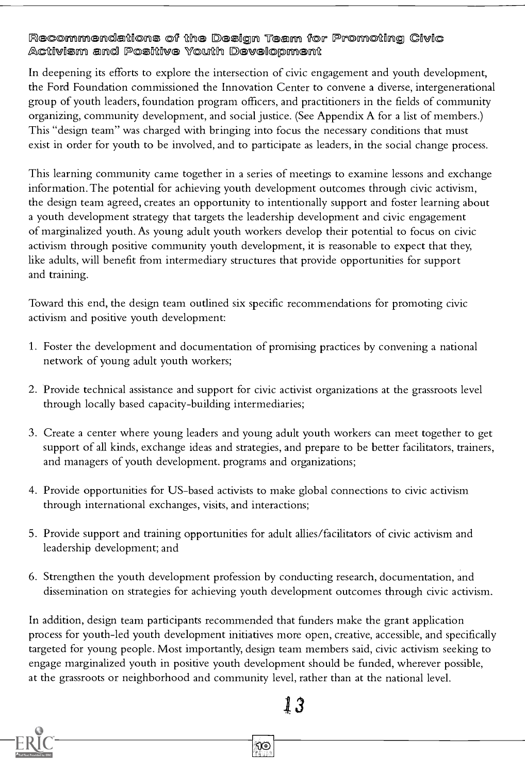Recommendations of the Design Team for Promoting Civic Activism and Positive Youth Development

In deepening its efforts to explore the intersection of civic engagement and youth development, the Ford Foundation commissioned the Innovation Center to convene a diverse, intergenerational group of youth leaders, foundation program officers, and practitioners in the fields of community organizing, community development, and social justice. (See Appendix A for a list of members.) This "design team" was charged with bringing into focus the necessary conditions that must exist in order for youth to be involved, and to participate as leaders, in the social change process.

This learning community came together in a series of meetings to examine lessons and exchange information. The potential for achieving youth development outcomes through civic activism, the design team agreed, creates an opportunity to intentionally support and foster learning about a youth development strategy that targets the leadership development and civic engagement of marginalized youth. As young adult youth workers develop their potential to focus on civic activism through positive community youth development, it is reasonable to expect that they, like adults, will benefit from intermediary structures that provide opportunities for support and training.

Toward this end, the design team outlined six specific recommendations for promoting civic activism and positive youth development:

- 1. Foster the development and documentation of promising practices by convening a national network of young adult youth workers;
- 2. Provide technical assistance and support for civic activist organizations at the grassroots level through locally based capacity-building intermediaries;
- 3. Create a center where young leaders and young adult youth workers can meet together to get support of all kinds, exchange ideas and strategies, and prepare to be better facilitators, trainers, and managers of youth development. programs and organizations;
- 4. Provide opportunities for US-based activists to make global connections to civic activism through international exchanges, visits, and interactions;
- 5. Provide support and training opportunities for adult allies/facilitators of civic activism and leadership development; and
- 6. Strengthen the youth development profession by conducting research, documentation, and dissemination on strategies for achieving youth development outcomes through civic activism.

In addition, design team participants recommended that funders make the grant application process for youth-led youth development initiatives more open, creative, accessible, and specifically targeted for young people. Most importantly, design team members said, civic activism seeking to engage marginalized youth in positive youth development should be funded, wherever possible, at the grassroots or neighborhood and community level, rather than at the national level.

<u>ମ୍ବତ</u>

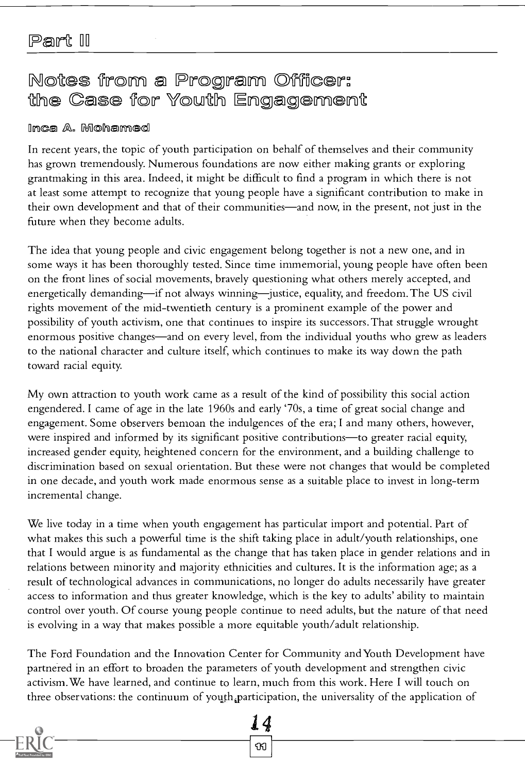# Notes from a Program Officer: the Case for Youth Engagement

#### Inca A. Mohamed

In recent years, the topic of youth participation on behalf of themselves and their community has grown tremendously. Numerous foundations are now either making grants or exploring grantmaking in this area. Indeed, it might be difficult to find a program in which there is not at least some attempt to recognize that young people have a significant contribution to make in their own development and that of their communities—and now, in the present, not just in the future when they become adults.

The idea that young people and civic engagement belong together is not a new one, and in some ways it has been thoroughly tested. Since time immemorial, young people have often been on the front lines of social movements, bravely questioning what others merely accepted, and energetically demanding—if not always winning—justice, equality, and freedom. The US civil rights movement of the mid-twentieth century is a prominent example of the power and possibility of youth activism, one that continues to inspire its successors. That struggle wrought enormous positive changes—and on every level, from the individual youths who grew as leaders to the national character and culture itself, which continues to make its way down the path toward racial equity.

My own attraction to youth work came as a result of the kind of possibility this social action engendered. I came of age in the late 1960s and early '70s, a time of great social change and engagement. Some observers bemoan the indulgences of the era; I and many others, however, were inspired and informed by its significant positive contributions—to greater racial equity, increased gender equity, heightened concern for the environment, and a building challenge to discrimination based on sexual orientation. But these were not changes that would be completed in one decade, and youth work made enormous sense as a suitable place to invest in long-term incremental change.

We live today in a time when youth engagement has particular import and potential. Part of what makes this such a powerful time is the shift taking place in adult/youth relationships, one that I would argue is as fundamental as the change that has taken place in gender relations and in relations between minority and majority ethnicities and cultures. It is the information age; as a result of technological advances in communications, no longer do adults necessarily have greater access to information and thus greater knowledge, which is the key to adults' ability to maintain control over youth. Of course young people continue to need adults, but the nature of that need is evolving in a way that makes possible a more equitable youth/adult relationship.

The Ford Foundation and the Innovation Center for Community and Youth Development have partnered in an effort to broaden the parameters of youth development and strengthen civic activism.We have learned, and continue to learn, much from this work. Here I will touch on three observations: the continuum of youth participation, the universality of the application of

14

ิชข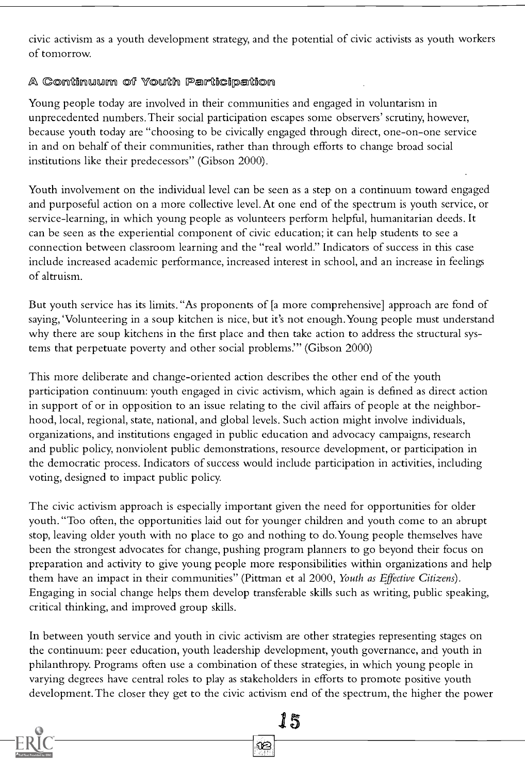civic activism as a youth development strategy, and the potential of civic activists as youth workers of tomorrow.

#### A Continuum of Youth Participation

Young people today are involved in their communities and engaged in voluntarism in unprecedented numbers. Their social participation escapes some observers' scrutiny, however, because youth today are "choosing to be civically engaged through direct, one-on-one service in and on behalf of their communities, rather than through efforts to change broad social institutions like their predecessors" (Gibson 2000).

Youth involvement on the individual level can be seen as a step on a continuum toward engaged and purposeful action on a more collective level. At one end of the spectrum is youth service, or service-learning, in which young people as volunteers perform helpful, humanitarian deeds. It can be seen as the experiential component of civic education; it can help students to see a connection between classroom learning and the "real world." Indicators of success in this case include increased academic performance, increased interest in school, and an increase in feelings of altruism.

But youth service has its limits. "As proponents of [a more comprehensive] approach are fond of saying, 'Volunteering in a soup kitchen is nice, but it's not enough.Young people must understand why there are soup kitchens in the first place and then take action to address the structural systems that perpetuate poverty and other social problems." (Gibson 2000)

This more deliberate and change-oriented action describes the other end of the youth participation continuum: youth engaged in civic activism, which again is defined as direct action in support of or in opposition to an issue relating to the civil affairs of people at the neighborhood, local, regional, state, national, and global levels. Such action might involve individuals, organizations, and institutions engaged in public education and advocacy campaigns, research and public policy, nonviolent public demonstrations, resource development, or participation in the democratic process. Indicators of success would include participation in activities, including voting, designed to impact public policy.

The civic activism approach is especially important given the need for opportunities for older youth. "Too often, the opportunities laid out for younger children and youth come to an abrupt stop, leaving older youth with no place to go and nothing to do.Young people themselves have been the strongest advocates for change, pushing program planners to go beyond their focus on preparation and activity to give young people more responsibilities within organizations and help them have an impact in their communities" (Pittman et al 2000, Youth as Effective Citizens). Engaging in social change helps them develop transferable skills such as writing, public speaking, critical thinking, and improved group skills.

In between youth service and youth in civic activism are other strategies representing stages on the continuum: peer education, youth leadership development, youth governance, and youth in philanthropy. Programs often use a combination of these strategies, in which young people in varying degrees have central roles to play as stakeholders in efforts to promote positive youth development. The closer they get to the civic activism end of the spectrum, the higher the power

Œ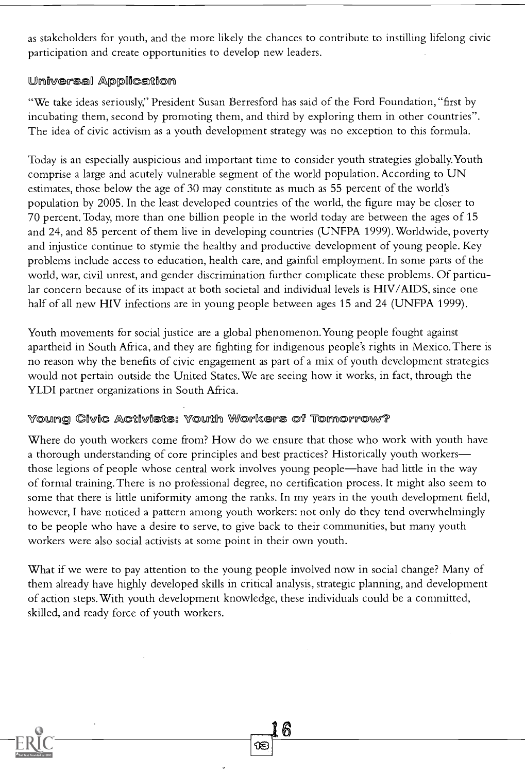as stakeholders for youth, and the more likely the chances to contribute to instilling lifelong civic participation and create opportunities to develop new leaders.

#### Universal Application

"We take ideas seriously," President Susan Berresford has said of the Ford Foundation, "first by incubating them, second by promoting them, and third by exploring them in other countries". The idea of civic activism as a youth development strategy was no exception to this formula.

Today is an especially auspicious and important time to consider youth strategies globally.Youth comprise a large and acutely vulnerable segment of the world population. According to UN estimates, those below the age of 30 may constitute as much as 55 percent of the world's population by 2005. In the least developed countries of the world, the figure may be closer to 70 percent. Today, more than one billion people in the world today are between the ages of 15 and 24, and 85 percent of them live in developing countries (UNFPA 1999).Worldwide, poverty and injustice continue to stymie the healthy and productive development of young people. Key problems include access to education, health care, and gainful employment. In some parts of the world, war, civil unrest, and gender discrimination further complicate these problems. Of particular concern because of its impact at both societal and individual levels is HIV/AIDS, since one half of all new HIV infections are in young people between ages 15 and 24 (UNFPA 1999).

Youth movements for social justice are a global phenomenon. Young people fought against apartheid in South Africa, and they are fighting for indigenous people's rights in Mexico. There is no reason why the benefits of civic engagement as part of a mix of youth development strategies would not pertain outside the United States.We are seeing how it works, in fact, through the YLDI partner organizations in South Africa.

#### Young Civic Activists: Youth Workers of Tomorrow?

Where do youth workers come from? How do we ensure that those who work with youth have a thorough understanding of core principles and best practices? Historically youth workers those legions of people whose central work involves young people—have had little in the way of formal training. There is no professional degree, no certification process. It might also seem to some that there is little uniformity among the ranks. In my years in the youth development field, however, I have noticed a pattern among youth workers: not only do they tend overwhelmingly to be people who have a desire to serve, to give back to their communities, but many youth workers were also social activists at some point in their own youth.

What if we were to pay attention to the young people involved now in social change? Many of them already have highly developed skills in critical analysis, strategic planning, and development of action steps.With youth development knowledge, these individuals could be a committed, skilled, and ready force of youth workers.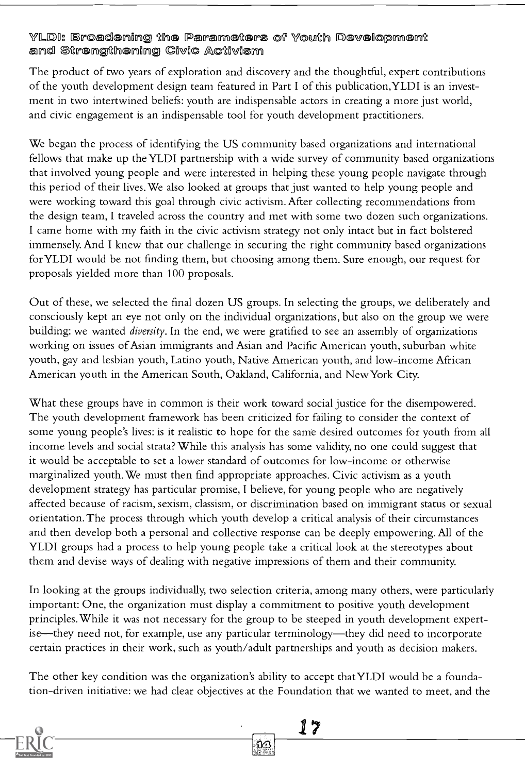#### YLDI: Broadening the Parameters of Youth Development and Strengthening Civic Activism

The product of two years of exploration and discovery and the thoughtful, expert contributions of the youth development design team featured in Part I of this publication,YLDI is an investment in two intertwined beliefs: youth are indispensable actors in creating a more just world, and civic engagement is an indispensable tool for youth development practitioners.

We began the process of identifying the US community based organizations and international fellows that make up the YLDI partnership with a wide survey of community based organizations that involved young people and were interested in helping these young people navigate through this period of their lives.We also looked at groups that just wanted to help young people and were working toward this goal through civic activism. After collecting recommendations from the design team, I traveled across the country and met with some two dozen such organizations. I came home with my faith in the civic activism strategy not only intact but in fact bolstered immensely. And I knew that our challenge in securing the right community based organizations for YLDI would be not finding them, but choosing among them. Sure enough, our request for proposals yielded more than 100 proposals.

Out of these, we selected the final dozen US groups. In selecting the groups, we deliberately and consciously kept an eye not only on the individual organizations, but also on the group we were building: we wanted diversity. In the end, we were gratified to see an assembly of organizations working on issues of Asian immigrants and Asian and Pacific American youth, suburban white youth, gay and lesbian youth, Latino youth, Native American youth, and low-income African American youth in the American South, Oakland, California, and New York City.

What these groups have in common is their work toward social justice for the disempowered. The youth development framework has been criticized for failing to consider the context of some young people's lives: is it realistic to hope for the same desired outcomes for youth from all income levels and social strata? While this analysis has some validity, no one could suggest that it would be acceptable to set a lower standard of outcomes for low-income or otherwise marginalized youth.We must then find appropriate approaches. Civic activism as a youth development strategy has particular promise, I believe, for young people who are negatively affected because of racism, sexism, classism, or discrimination based on immigrant status or sexual orientation. The process through which youth develop a critical analysis of their circumstances and then develop both a personal and collective response can be deeply empowering. All of the YLDI groups had a process to help young people take a critical look at the stereotypes about them and devise ways of dealing with negative impressions of them and their community.

In looking at the groups individually, two selection criteria, among many others, were particularly important: One, the organization must display a commitment to positive youth development principles.While it was not necessary for the group to be steeped in youth development expertise—they need not, for example, use any particular terminology—they did need to incorporate certain practices in their work, such as youth/adult partnerships and youth as decision makers.

The other key condition was the organization's ability to accept that YLDI would be a foundation-driven initiative: we had clear objectives at the Foundation that we wanted to meet, and the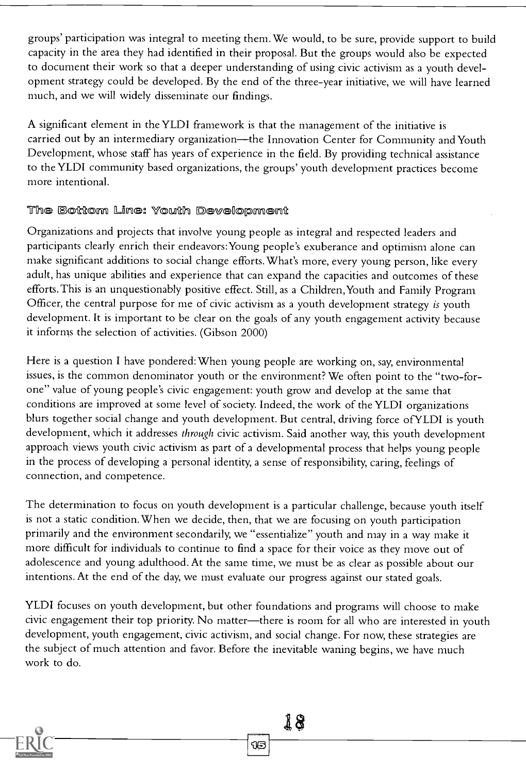groups' participation was integral to meeting them.We would, to be sure, provide support to build capacity in the area they had identified in their proposal. But the groups would also be expected to document their work so that a deeper understanding of using civic activism as a youth development strategy could be developed. By the end of the three-year initiative, we will have learned much, and we will widely disseminate our findings.

A significant element in the YLDI framework is that the management of the initiative is carried out by an intermediary organization—the Innovation Center for Community and Youth Development, whose staff has years of experience in the field. By providing technical assistance to the YLDI community based organizations, the groups' youth development practices become more intentional.

#### The Bottom Line: Youth Development

Organizations and projects that involve young people as integral and respected leaders and participants clearly enrich their endeavors:Young people's exuberance and optimism alone can make significant additions to social change efforts.What's more, every young person, like every adult, has unique abilities and experience that can expand the capacities and outcomes of these efforts. This is an unquestionably positive effect. Still, as a Children,Youth and Family Program Officer, the central purpose for me of civic activism as a youth development strategy is youth development. It is important to be clear on the goals of any youth engagement activity because it informs the selection of activities. (Gibson 2000)

Here is a question I have pondered:When young people are working on, say, environmental issues, is the common denominator youth or the environment? We often point to the "two-forone" value of young people's civic engagement: youth grow and develop at the same that conditions are improved at some level of society. Indeed, the work of the YLDI organizations blurs together social change and youth development. But central, driving force ofYLDI is youth development, which it addresses through civic activism. Said another way, this youth development approach views youth civic activism as part of a developmental process that helps young people in the process of developing a personal identity, a sense of responsibility, caring, feelings of connection, and competence.

The determination to focus on youth development is a particular challenge, because youth itself is not a static condition.When we decide, then, that we are focusing on youth participation primarily and the environment secondarily, we "essentialize" youth and may in a way make it more difficult for individuals to continue to find a space for their voice as they move out of adolescence and young adulthood. At the same time, we must be as clear as possible about our intentions. At the end of the day, we must evaluate our progress against our stated goals.

YLDI focuses on youth development, but other foundations and programs will choose to make civic engagement their top priority. No matter—there is room for all who are interested in youth development, youth engagement, civic activism, and social change. For now, these strategies are the subject of much attention and favor. Before the inevitable waning begins, we have much work to do.

15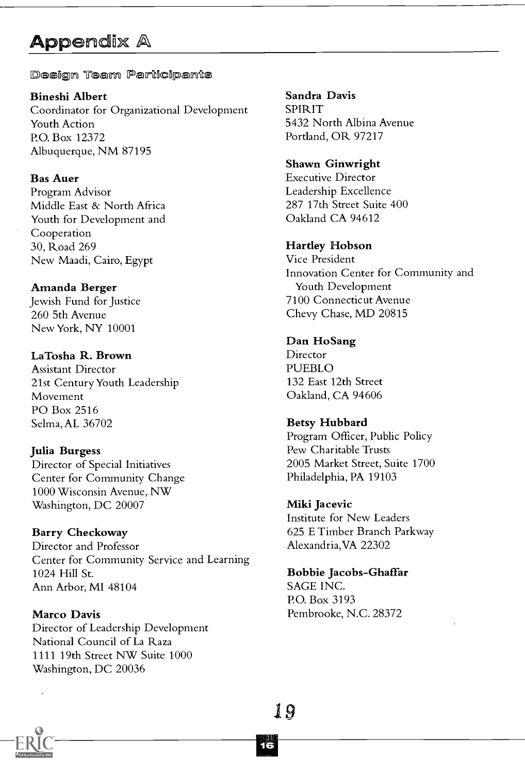# **Appendix A**

Design Team Participants

Bineshi Albert Coordinator for Organizational Development

Youth Action P.O. Box 12372 Albuquerque, NM 87195

Bas Auer

Program Advisor Middle East & North Africa Youth for Development and Cooperation 30, Road 269 New Maadi, Cairo, Egypt

Amanda Berger Jewish Fund for Justice 260 5th Avenue

New York, NY 10001

LaTosha R. Brown Assistant Director 21st Century Youth Leadership Movement PO Box 2516 Selma, AL 36702

Julia Burgess Director of Special Initiatives Center for Community Change 1000 Wisconsin Avenue, NW Washington, DC 20007

Barry Checkoway Director and Professor Center for Community Service and Learning 1024 Hill St. Ann Arbor, MI 48104

Marco Davis Director of Leadership Development National Council of La Raza 1111 19th Street NW Suite 1000 Washington, DC 20036

Sandra Davis SPIRIT 5432 North Albina Avenue Portland, OR 97217

Shawn Ginwright Executive Director Leadership Excellence 287 17th Street Suite 400 Oakland CA 94612

Hartley Hobson Vice President Innovation Center for Community and Youth Development

7100 Connecticut Avenue Chevy Chase, MD 20815

Dan HoSang Director PUEBLO 132 East 12th Street Oakland, CA 94606

Betsy Hubbard Program Officer, Public Policy Pew Charitable Trusts 2005 Market Street, Suite 1700 Philadelphia, PA 19103

Miki Jacevic Institute for New Leaders 625 E Timber Branch Parkway Alexandria,VA 22302

Bobbie Jacobs-Ghaffar SAGE INC. P.O. Box 3193 Pembrooke, N.C. 28372

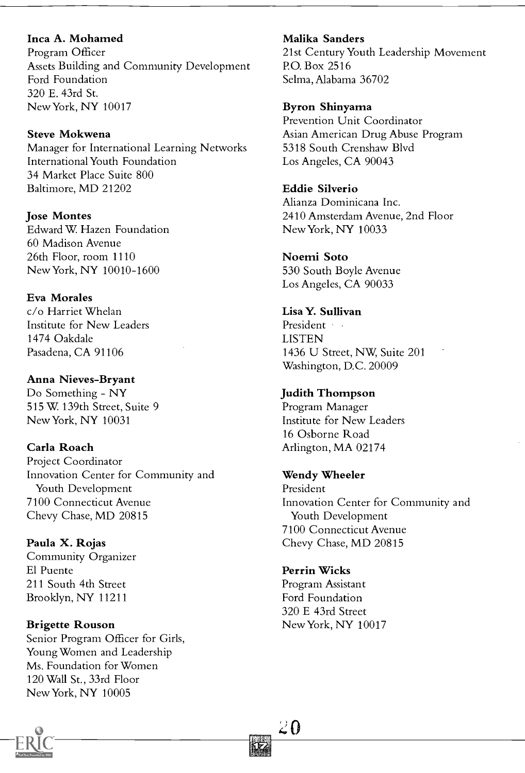#### Inca A. Mohamed

Program Officer Assets Building and Community Development Ford Foundation 320 E. 43rd St. New York, NY 10017

Steve Mokwena Manager for International Learning Networks International Youth Foundation 34 Market Place Suite 800 Baltimore, MD 21202

Jose Montes Edward W. Hazen Foundation 60 Madison Avenue 26th Floor, room 1110 New York, NY 10010-1600

Eva Morales c/o Harriet Whelan Institute for New Leaders 1474 Oakdale Pasadena, CA 91106

#### Anna Nieves-Bryant Do Something - NY

515 W. 139th Street, Suite 9 NewYork, NY 10031

Carla Roach Project Coordinator Innovation Center for Community and Youth Development 7100 Connecticut Avenue

Paula X. Rojas Community Organizer El Puente 211 South 4th Street Brooklyn, NY 11211

Chevy Chase, MD 20815

#### Brigette Rouson

Senior Program Officer for Girls, Young Women and Leadership Ms. Foundation for Women 120 Wall St., 33rd Floor New York, NY 10005

Malika Sanders

21st Century Youth Leadership Movement P.O. Box 2516 Selma, Alabama 36702

#### Byron Shinyama

Prevention Unit Coordinator Asian American Drug Abuse Program 5318 South Crenshaw Blvd Los Angeles, CA 90043

Eddie Silverio

Alianza Dominicana Inc. 2410 Amsterdam Avenue, 2nd Floor New York, NY 10033

Noemi Soto 530 South Boyle Avenue Los Angeles, CA 90033

Lisa Y. Sullivan President **LISTEN** 1436 U Street, NW, Suite 201 Washington, D.C. 20009

#### Judith Thompson

Program Manager Institute for New Leaders 16 Osborne Road Arlington, MA 02174

#### Wendy Wheeler

President Innovation Center for Community and Youth Development 7100 Connecticut Avenue Chevy Chase, MD 20815

Perrin Wicks Program Assistant Ford Foundation 320 E 43rd Street New York, NY 10017

 $2\Omega$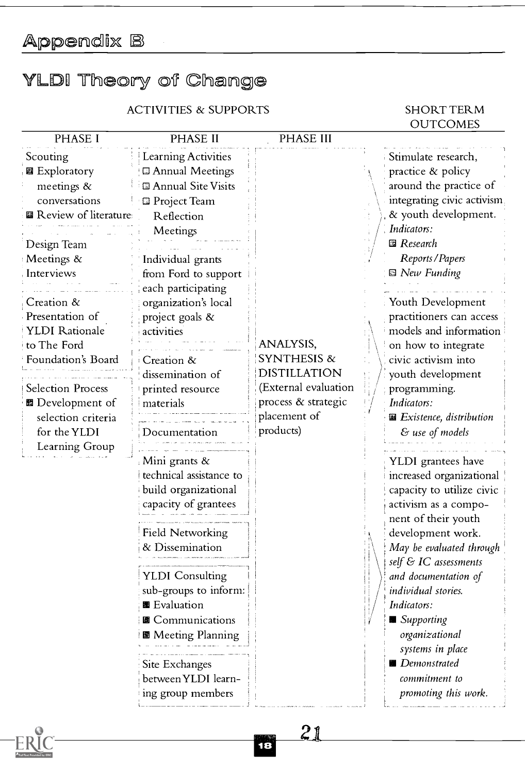Appendix B

# YLDI Theory of Change

ACTIVITIES & SUPPORTS SHORT TERM

# **OUTCOMES**

| PHASE I                                                                                                                                                                                                                                                                                                                                            | <b>PHASE II</b>                                                                                                                                                                                                                                                                                                                                                                                                                                                                                                                                                                                                                               | PHASE III                                                                                                                              |                                                                                                                                                                                                                                                                                                                                                                                                                                                                                                                                                                                                                                                                                                                                                                                                  |
|----------------------------------------------------------------------------------------------------------------------------------------------------------------------------------------------------------------------------------------------------------------------------------------------------------------------------------------------------|-----------------------------------------------------------------------------------------------------------------------------------------------------------------------------------------------------------------------------------------------------------------------------------------------------------------------------------------------------------------------------------------------------------------------------------------------------------------------------------------------------------------------------------------------------------------------------------------------------------------------------------------------|----------------------------------------------------------------------------------------------------------------------------------------|--------------------------------------------------------------------------------------------------------------------------------------------------------------------------------------------------------------------------------------------------------------------------------------------------------------------------------------------------------------------------------------------------------------------------------------------------------------------------------------------------------------------------------------------------------------------------------------------------------------------------------------------------------------------------------------------------------------------------------------------------------------------------------------------------|
| Scouting<br><b>图</b> Exploratory<br>meetings &<br>conversations<br><b>图 Review of literature</b><br>Design Team<br>Meetings &<br>Interviews<br>Creation &<br>Presentation of<br><b>YLDI</b> Rationale<br>to The Ford<br>Foundation's Board<br><b>Selection Process</b><br>■ Development of<br>selection criteria<br>for the YLDI<br>Learning Group | Learning Activities<br><b>El Annual Meetings</b><br><sup>1</sup> Annual Site Visits<br><b>Project Team</b><br>Reflection<br>Meetings<br>Individual grants<br>from Ford to support<br>each participating<br>organization's local<br>project goals &<br>activities<br>Creation &<br>dissemination of<br>printed resource<br>materials<br>Documentation<br>Mini grants &<br>technical assistance to<br>build organizational<br>capacity of grantees<br>Field Networking<br>& Dissemination<br><b>YLDI</b> Consulting<br>sub-groups to inform:<br>■ Evaluation<br>圖 Communications<br>■ Meeting Planning<br>Site Exchanges<br>between YLDI learn- | ANALYSIS,<br><b>SYNTHESIS &amp;</b><br><b>DISTILLATION</b><br>(External evaluation<br>process & strategic<br>placement of<br>products) | Stimulate research,<br>practice & policy<br>around the practice of<br>integrating civic activism<br>& youth development.<br>Indicators:<br><b>B</b> Research<br>Reports/Papers<br><b>■</b> New Funding<br>Youth Development<br>practitioners can access<br>models and information<br>on how to integrate<br>civic activism into<br>youth development<br>programming.<br>Indicators:<br>图 Existence, distribution<br>& use of models<br>YLDI grantees have<br>increased organizational<br>capacity to utilize civic<br>activism as a compo-<br>nent of their youth<br>development work.<br>May be evaluated through<br>self & IC assessments<br>and documentation of<br>individual stories.<br>Indicators:<br>■ Supporting<br>organizational<br>systems in place<br>Demonstrated<br>commitment to |

21\_

**Ta**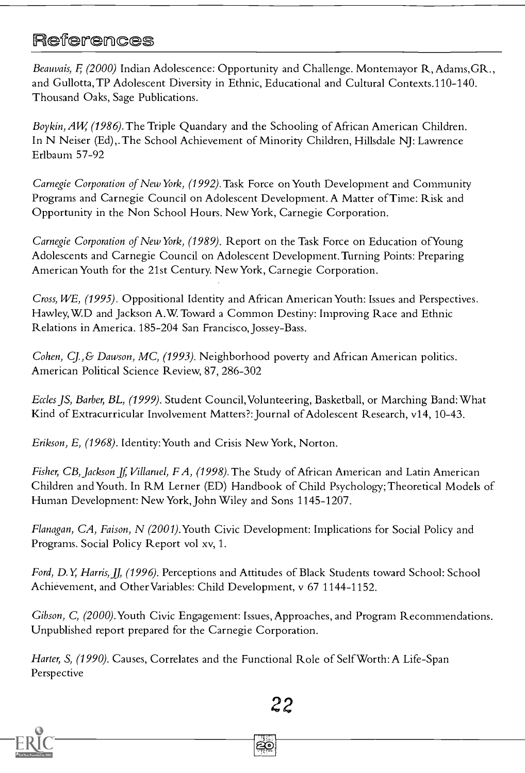## **References**

Beauvais, F. (2000) Indian Adolescence: Opportunity and Challenge. Montemayor R. Adams, GR., and Gullotta, TP Adolescent Diversity in Ethnic, Educational and Cultural Contexts.110-140. Thousand Oaks, Sage Publications.

Boykin, AW (1986). The Triple Quandary and the Schooling of African American Children. In N Neiser (Ed),. The School Achievement of Minority Children, Hillsdale NJ: Lawrence Erlbaum 57-92

Carnegie Corporation of New York, (1992). Task Force on Youth Development and Community Programs and Carnegie Council on Adolescent Development. A Matter of Time: Risk and Opportunity in the Non School Hours. New York, Carnegie Corporation.

Carnegie Corporation of New York, (1989). Report on the Task Force on Education ofYoung Adolescents and Carnegie Council on Adolescent Development. Turning Points: Preparing American Youth for the 21st Century. New York, Carnegie Corporation.

Cross, WE, (1995). Oppositional Identity and African American Youth: Issues and Perspectives. Hawley,WD and Jackson A.W Toward a Common Destiny: Improving Race and Ethnic Relations in America. 185-204 San Francisco, Jossey-Bass.

Cohen, CJ.,& Dawson, MC, (1993). Neighborhood poverty and African American politics. American Political Science Review, 87, 286-302

Eccles JS, Barber, BL, (1999). Student Council,Volunteering, Basketball, or Marching Band:What Kind of Extracurricular Involvement Matters?: Journal of Adolescent Research, v14, 10-43.

Erikson, E, (1968). Identity:Youth and Crisis New York, Norton.

Fisher, CB, Jackson Jf, Villaruel, FA, (1998). The Study of African American and Latin American Children and Youth. In RM Lerner (ED) Handbook of Child Psychology; Theoretical Models of Human Development: New York, John Wiley and Sons 1145-1207.

Flanagan, CA, Faison, N (2001). Youth Civic Development: Implications for Social Policy and Programs. Social Policy Report vol xv, 1.

Ford, D.Y, Harris, JJ, (1996). Perceptions and Attitudes of Black Students toward School: School Achievement, and Other Variables: Child Development, v 67 1144-1152.

Gibson, C, (2000).Youth Civic Engagement: Issues, Approaches, and Program Recommendations. Unpublished report prepared for the Carnegie Corporation.

22

Harter, S, (1990). Causes, Correlates and the Functional Role of SelfWorth: A Life-Span Perspective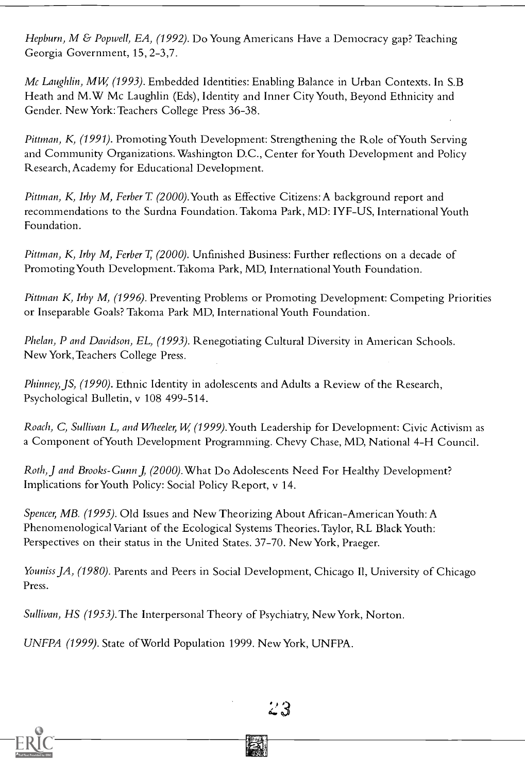Hepburn, M & Popwell, EA, (1992). Do Young Americans Have a Democracy gap? Teaching Georgia Government, 15, 2-3,7.

Mc Laughlin, MW (1993). Embedded Identities: Enabling Balance in Urban Contexts. In S.B Heath and M.W Mc Laughlin (Eds), Identity and Inner City Youth, Beyond Ethnicity and Gender. New York:Teachers College Press 36-38.

Pittman, K, (1991). Promoting Youth Development: Strengthening the Role of Youth Serving and Community Organizations. Washington D.C., Center for Youth Development and Policy Research, Academy for Educational Development.

Pittman, K, Irby M, Ferber T. (2000). Youth as Effective Citizens: A background report and recommendations to the Surdna Foundation. Takoma Park, MD: IYF-US, International Youth Foundation.

Pittman, K, Irby M, Ferber T, (2000). Unfinished Business: Further reflections on a decade of Promoting Youth Development. Takoma Park, MD, International Youth Foundation.

Pittman K, Irby M,  $(1996)$ . Preventing Problems or Promoting Development: Competing Priorities or Inseparable Goals? Takoma Park MD, International Youth Foundation.

Phelan, P and Davidson, EL, (1993). Renegotiating Cultural Diversity in American Schools. New York, Teachers College Press.

Phinney, JS, (1990). Ethnic Identity in adolescents and Adults a Review of the Research, Psychological Bulletin, v 108 499-514.

Roach, C, Sullivan L, and Wheeler, W, (1999). Youth Leadership for Development: Civic Activism as a Component ofYouth Development Programming. Chevy Chase, MD, National 4-H Council.

Roth, J and Brooks-Gunn J, (2000). What Do Adolescents Need For Healthy Development? Implications for Youth Policy: Social Policy Report, v 14.

Spencer, MB. (1995). Old Issues and New Theorizing About African-American Youth: A Phenomenological Variant of the Ecological Systems Theories. Taylor, RL Black Youth: Perspectives on their status in the United States. 37-70. New York, Praeger.

Youniss JA, (1980). Parents and Peers in Social Development, Chicago II, University of Chicago Press.

Sullivan, HS (1953). The Interpersonal Theory of Psychiatry, New York, Norton.

UNFPA (1999). State ofWorld Population 1999. New York, UNFPA.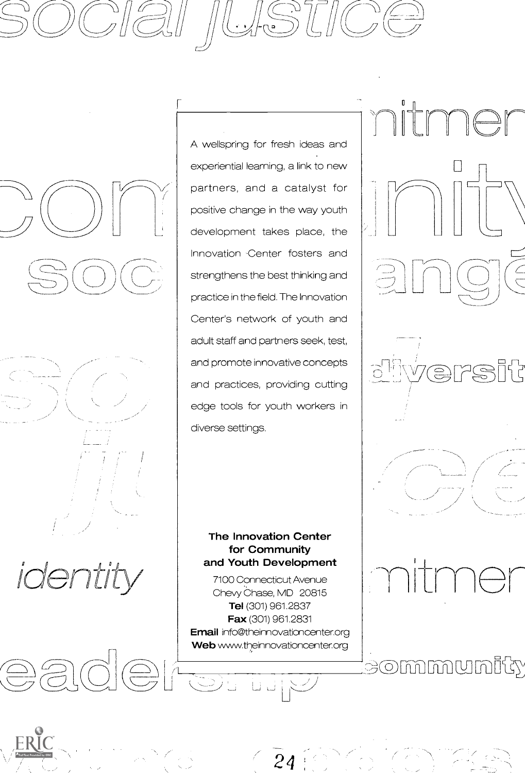







 $\bigoplus\limits_{n=1}^{\infty}$ 

ERIC

A wellspring for fresh ideas and experiential learning, a link to new partners, and a catalyst for positive change in the way youth development takes place, the Innovation .Center fosters and strengthens the best thinking and practice in the field. The Innovation Center's network of youth and adult staff and partners seek, test, and promote innovative concepts and practices, providing cutting edge tools for youth workers in diverse settings.

#### The Innovation Center for Community and Youth Development

7100 Connecticut Avenue Chevy Chase, MD 20815 Tel (301) 961.2837 Fax (301) 961.2831 Email info@theinnovationcenter.org Web www.theinnovationcenter.org **ICELET** 



tmer

eommmunity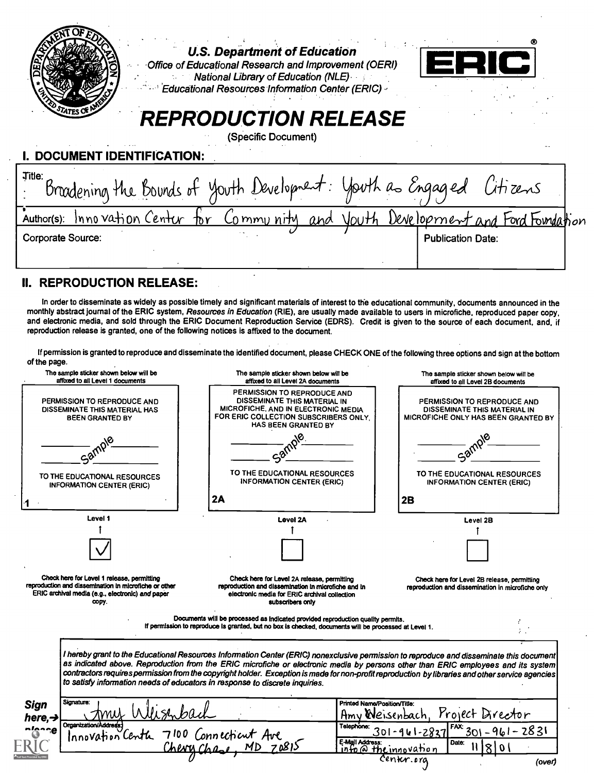| <b>U.S. Department of Education</b><br>Office of Educational Research and Improvement (OERI)<br><b>National Library of Education (NLE)</b><br><b>Educational Resources Information Center (ERIC)</b><br>TATES OF!<br><b>REPRODUCTION RELEASE</b><br>(Specific Document) |
|-------------------------------------------------------------------------------------------------------------------------------------------------------------------------------------------------------------------------------------------------------------------------|
| I. DOCUMENT IDENTIFICATION:                                                                                                                                                                                                                                             |
| Title:<br>Bradening the Bounds of youth Development: youth as Engaged Citizens                                                                                                                                                                                          |
| Author(s): Innovation Center for Community and youth Development and Ford Foundation                                                                                                                                                                                    |
| Corporate Source:<br><b>Publication Date:</b>                                                                                                                                                                                                                           |
|                                                                                                                                                                                                                                                                         |
| <b>REPRODUCTION RELEASE:</b>                                                                                                                                                                                                                                            |

In order to disseminate as widely as possible timely and significant materials of interest to the educational community, documents announced in the monthly abstract journal of the ERIC system, Resources in Education (RIE), reproduction release is granted, one of the following notices is affixed to the document.

If permission is granted to reproduce and disseminate the identified document, please CHECK ONE of the following three options and sign at the bottom of the page.

|                               | The sample sticker shown below will be<br>affixed to all Level 1 documents                                                                                       | The sample sticker shown below will be<br>affixed to all Level 2A documents                                                                                                              | The sample sticker shown below will be<br>affixed to all Level 2B documents                                                                                                                                                                                                                                                                                                                                                       |
|-------------------------------|------------------------------------------------------------------------------------------------------------------------------------------------------------------|------------------------------------------------------------------------------------------------------------------------------------------------------------------------------------------|-----------------------------------------------------------------------------------------------------------------------------------------------------------------------------------------------------------------------------------------------------------------------------------------------------------------------------------------------------------------------------------------------------------------------------------|
|                               | PERMISSION TO REPRODUCE AND<br>DISSEMINATE THIS MATERIAL HAS<br><b>BEEN GRANTED BY</b>                                                                           | PERMISSION TO REPRODUCE AND<br>DISSEMINATE THIS MATERIAL IN<br>MICROFICHE, AND IN ELECTRONIC MEDIA<br>FOR ERIC COLLECTION SUBSCRIBERS ONLY.<br>HAS BEEN GRANTED BY                       | PERMISSION TO REPRODUCE AND<br>DISSEMINATE THIS MATERIAL IN<br>MICROFICHE ONLY HAS BEEN GRANTED BY                                                                                                                                                                                                                                                                                                                                |
|                               |                                                                                                                                                                  |                                                                                                                                                                                          |                                                                                                                                                                                                                                                                                                                                                                                                                                   |
|                               | TO THE EDUCATIONAL RESOURCES<br><b>INFORMATION CENTER (ERIC)</b>                                                                                                 | TO THE EDUCATIONAL RESOURCES<br><b>INFORMATION CENTER (ERIC)</b>                                                                                                                         | TO THE EDUCATIONAL RESOURCES<br><b>INFORMATION CENTER (ERIC)</b>                                                                                                                                                                                                                                                                                                                                                                  |
|                               |                                                                                                                                                                  | 2A                                                                                                                                                                                       | 2B                                                                                                                                                                                                                                                                                                                                                                                                                                |
|                               | Level 1                                                                                                                                                          | <b>Level 2A</b>                                                                                                                                                                          | Level 2B                                                                                                                                                                                                                                                                                                                                                                                                                          |
|                               |                                                                                                                                                                  |                                                                                                                                                                                          |                                                                                                                                                                                                                                                                                                                                                                                                                                   |
|                               | Check here for Level 1 release, permitting<br>reproduction and dissemination in microfiche or other<br>ERIC archival media (e.g., electronic) and paper<br>CODY. | Check here for Level 2A release, permitting<br>reproduction and dissemination in microfiche and in<br>electronic media for ERIC archival collection<br>subscribers only                  | Check here for Level 2B release, permitting<br>reproduction and dissemination in microfiche only                                                                                                                                                                                                                                                                                                                                  |
|                               |                                                                                                                                                                  | Documents will be processed as indicated provided reproduction quality permits.<br>If permission to reproduce is granted, but no box is checked, documents will be processed at Level 1. |                                                                                                                                                                                                                                                                                                                                                                                                                                   |
|                               |                                                                                                                                                                  | to satisfy information needs of educators in response to discrete inquiries.                                                                                                             | I hereby grant to the Educational Resources Information Center (ERIC) nonexclusive permission to reproduce and disseminate this document<br>as indicated above. Reproduction from the ERIC microfiche or electronic media by persons other than ERIC employees and its system<br>contractors requires permission from the copyright holder. Exception is made for non-profit reproduction by libraries and other service agencies |
| <b>Sign</b>                   | Signature:                                                                                                                                                       |                                                                                                                                                                                          | Printed Name/Position/Title:<br>Project Director<br>Amv<br>Weisenbach                                                                                                                                                                                                                                                                                                                                                             |
| here, $\rightarrow$<br>nienee | Organization/Address-<br>Innovation Centh                                                                                                                        | 7100 Connecticut Ave                                                                                                                                                                     | Telephone:<br>$FAX$ 301-961-2831                                                                                                                                                                                                                                                                                                                                                                                                  |
|                               |                                                                                                                                                                  | Cheve Chas                                                                                                                                                                               | E-Mail Address:<br>Date:<br>info@theinnovation                                                                                                                                                                                                                                                                                                                                                                                    |
|                               |                                                                                                                                                                  |                                                                                                                                                                                          | Center.org<br>(over)                                                                                                                                                                                                                                                                                                                                                                                                              |